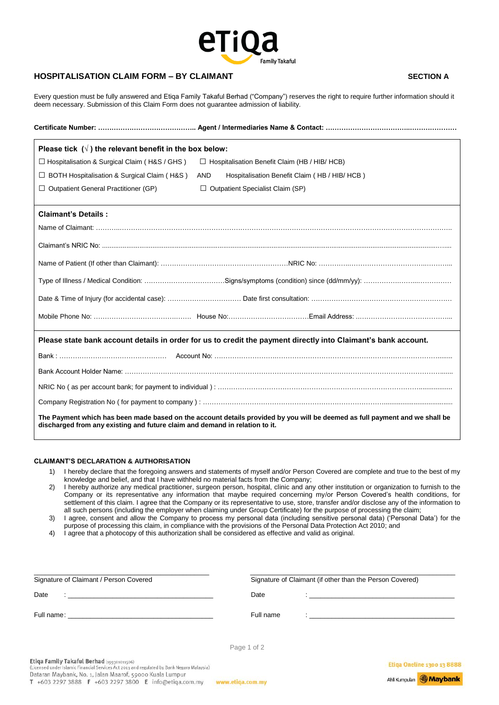

## **HOSPITALISATION CLAIM FORM – BY CLAIMANT SECTION A**

 Every question must be fully answered and Etiqa Family Takaful Berhad ("Company") reserves the right to require further information should it deem necessary. Submission of this Claim Form does not guarantee admission of liability.

| Please tick $(\sqrt{})$ the relevant benefit in the box below:                                                                                                                                             |                                                      |  |
|------------------------------------------------------------------------------------------------------------------------------------------------------------------------------------------------------------|------------------------------------------------------|--|
| $\Box$ Hospitalisation & Surgical Claim (H&S / GHS)                                                                                                                                                        | $\Box$ Hospitalisation Benefit Claim (HB / HIB/ HCB) |  |
| $\Box$ BOTH Hospitalisation & Surgical Claim (H&S)                                                                                                                                                         | Hospitalisation Benefit Claim (HB / HIB/HCB)<br>AND  |  |
| $\Box$ Outpatient General Practitioner (GP)                                                                                                                                                                | $\Box$ Outpatient Specialist Claim (SP)              |  |
| <b>Claimant's Details:</b>                                                                                                                                                                                 |                                                      |  |
|                                                                                                                                                                                                            |                                                      |  |
|                                                                                                                                                                                                            |                                                      |  |
|                                                                                                                                                                                                            |                                                      |  |
|                                                                                                                                                                                                            |                                                      |  |
|                                                                                                                                                                                                            |                                                      |  |
|                                                                                                                                                                                                            |                                                      |  |
| Please state bank account details in order for us to credit the payment directly into Claimant's bank account.                                                                                             |                                                      |  |
|                                                                                                                                                                                                            |                                                      |  |
|                                                                                                                                                                                                            |                                                      |  |
|                                                                                                                                                                                                            |                                                      |  |
|                                                                                                                                                                                                            |                                                      |  |
| The Payment which has been made based on the account details provided by you will be deemed as full payment and we shall be<br>discharged from any existing and future claim and demand in relation to it. |                                                      |  |

## **CLAIMANT'S DECLARATION & AUTHORISATION**

- 1) I hereby declare that the foregoing answers and statements of myself and/or Person Covered are complete and true to the best of my knowledge and belief, and that I have withheld no material facts from the Company;
- 2) I hereby authorize any medical practitioner, surgeon person, hospital, clinic and any other institution or organization to furnish to the Company or its representative any information that maybe required concerning my/or Person Covered's health conditions, for settlement of this claim. I agree that the Company or its representative to use, store, transfer and/or disclose any of the information to all such persons (including the employer when claiming under Group Certificate) for the purpose of processing the claim;
- 3) I agree, consent and allow the Company to process my personal data (including sensitive personal data) ('Personal Data') for the purpose of processing this claim, in compliance with the provisions of the Personal Data Protection Act 2010; and
- 4) I agree that a photocopy of this authorization shall be considered as effective and valid as original.

| Signature of Claimant / Person Covered                                       | Signature of Claimant (if other than the Person Covered)                                     |  |  |
|------------------------------------------------------------------------------|----------------------------------------------------------------------------------------------|--|--|
| Date<br>$\mathbf{r}$<br><u> 1980 - Jan Barnett, fransk politik (d. 1980)</u> | Date<br><u> 1989 - Johann John Stein, market fra de francez (h. 1982)</u>                    |  |  |
|                                                                              | Full name<br>the contract of the contract of the contract of the contract of the contract of |  |  |
|                                                                              | Page 1 of 2                                                                                  |  |  |

Etiqa Family Takaful Berhad (199301011506)<br>(Licensed under Islamic Financial Services Act 2013 and regulated by Bank Negara Malaysia) Dataran Maybank, No. 1, Jalan Maarof, 59000 Kuala Lumpur T +603 2297 3888 F +603 2297 3800 E info@etiga.com.my

www.etiga.com.my

**Etiqa Oneline 1300 13 8888** 

Ahli Kumpulan **Maybank**